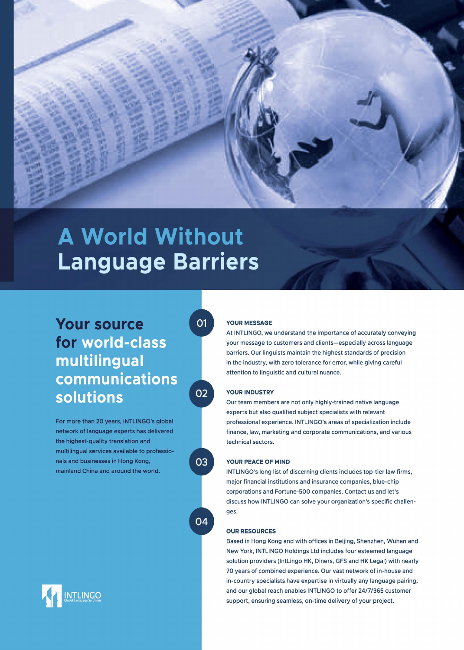

# **A World Without Language Barriers**

### Your source for world-class multilingual communications solutions

For more than 20 years, INTLINGO's global network of language experts has delivered the highest-quality translation and multilingual services available to professionals and businesses in Hong Kong, mainland China and around the world.

**O1** 



03

04

### in the industry, with zero tolerance for error, while giving careful attention to linguistic and cultural nuance.

YOUR MESSAGE

YOUR INDUSTRY

Our team members are not only highly-trained native language experts but also qualified subject specialists with relevant professional experience. INTLINGO's areas of specialization include finance, law, marketing and corporate communications, and various technical sectors.

At INTLINGO, we understand the importance of accurately conveying your message to customers and clients-especially across language barriers. Our linguists maintain the highest standards of precision

### YOUR PEACE OF MIND

INTLINGO's long list of discerning clients includes top-tier law firms, major financial institutions and insurance companies, blue-chip corporations and Fortune-500 companies. Contact us and let's discuss how INTLINGO can solve your organization's specific challenges.

#### OUR RESOURCES

Based in Hong Kong and with offices in Beijing, Shenzhen, Wuhan and New York, INTLINGO Holdings Ltd includes four esteemed language solution providers (lntLingo HK, Diners, GFS and HK Legal) with nearly 70 years of combined experience. Our vast network of in-house and in-country specialists have expertise in virtually any language pairing, and our global reach enables INTLINGO to offer 24/7/365 customer support, ensuring seamless, on-time delivery of your project.